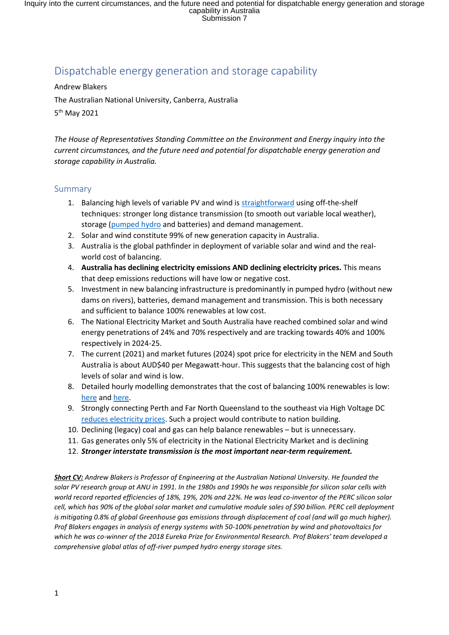# Dispatchable energy generation and storage capability

Andrew Blakers

The Australian National University, Canberra, Australia

5 th May 2021

*The House of Representatives Standing Committee on the Environment and Energy inquiry into the current circumstances, and the future need and potential for dispatchable energy generation and storage capability in Australia.*

#### Summary

- 1. Balancing high levels of variable PV and wind is [straightforward](http://www.sciencedirect.com/science/article/pii/S0360544217309568) using off-the-shelf techniques: stronger long distance transmission (to smooth out variable local weather), storage [\(pumped hydro](https://iopscience.iop.org/article/10.1088/2516-1083/abeb5b) and batteries) and demand management.
- 2. Solar and wind constitute 99% of new generation capacity in Australia.
- 3. Australia is the global pathfinder in deployment of variable solar and wind and the realworld cost of balancing.
- 4. **Australia has declining electricity emissions AND declining electricity prices.** This means that deep emissions reductions will have low or negative cost.
- 5. Investment in new balancing infrastructure is predominantly in pumped hydro (without new dams on rivers), batteries, demand management and transmission. This is both necessary and sufficient to balance 100% renewables at low cost.
- 6. The National Electricity Market and South Australia have reached combined solar and wind energy penetrations of 24% and 70% respectively and are tracking towards 40% and 100% respectively in 2024-25.
- 7. The current (2021) and market futures (2024) spot price for electricity in the NEM and South Australia is about AUD\$40 per Megawatt-hour. This suggests that the balancing cost of high levels of solar and wind is low.
- 8. Detailed hourly modelling demonstrates that the cost of balancing 100% renewables is low: [here](http://www.sciencedirect.com/science/article/pii/S0360544217309568) an[d here.](https://doi.org/10.1016/j.energy.2020.119678)
- 9. Strongly connecting Perth and Far North Queensland to the southeast via High Voltage DC [reduces electricity prices.](https://reneweconomy.com.au/for-100-billion-australia-could-have-a-low-cost-and-reliable-zero-emissions-grid/) Such a project would contribute to nation building.
- 10. Declining (legacy) coal and gas can help balance renewables but is unnecessary.
- 11. Gas generates only 5% of electricity in the National Electricity Market and is declining
- 12. *Stronger interstate transmission is the most important near-term requirement.*

*Short CV: Andrew Blakers is Professor of Engineering at the Australian National University. He founded the solar PV research group at ANU in 1991. In the 1980s and 1990s he was responsible for silicon solar cells with world record reported efficiencies of 18%, 19%, 20% and 22%. He was lead co-inventor of the PERC silicon solar cell, which has 90% of the global solar market and cumulative module sales of \$90 billion. PERC cell deployment is mitigating 0.8% of global Greenhouse gas emissions through displacement of coal (and will go much higher). Prof Blakers engages in analysis of energy systems with 50-100% penetration by wind and photovoltaics for which he was co-winner of the 2018 Eureka Prize for Environmental Research. Prof Blakers' team developed a comprehensive global atlas of off-river pumped hydro energy storage sites.*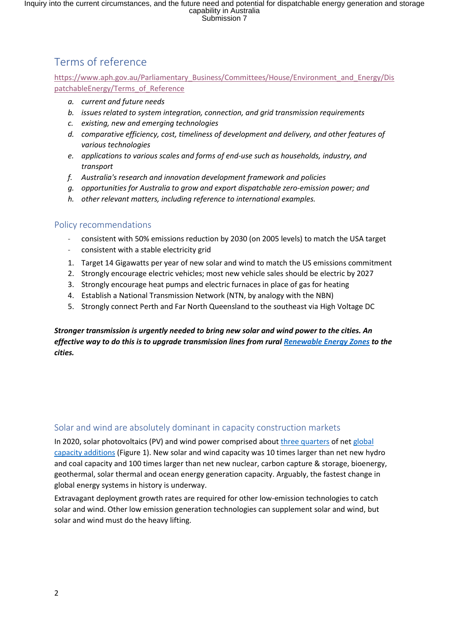# Terms of reference

[https://www.aph.gov.au/Parliamentary\\_Business/Committees/House/Environment\\_and\\_Energy/Dis](https://www.aph.gov.au/Parliamentary_Business/Committees/House/Environment_and_Energy/DispatchableEnergy/Terms_of_Reference) [patchableEnergy/Terms\\_of\\_Reference](https://www.aph.gov.au/Parliamentary_Business/Committees/House/Environment_and_Energy/DispatchableEnergy/Terms_of_Reference)

- *a. current and future needs*
- *b. issues related to system integration, connection, and grid transmission requirements*
- *c. existing, new and emerging technologies*
- *d. comparative efficiency, cost, timeliness of development and delivery, and other features of various technologies*
- *e. applications to various scales and forms of end-use such as households, industry, and transport*
- *f. Australia's research and innovation development framework and policies*
- *g. opportunities for Australia to grow and export dispatchable zero-emission power; and*
- *h. other relevant matters, including reference to international examples.*

#### Policy recommendations

- consistent with 50% emissions reduction by 2030 (on 2005 levels) to match the USA target
- consistent with a stable electricity grid
- 1. Target 14 Gigawatts per year of new solar and wind to match the US emissions commitment
- 2. Strongly encourage electric vehicles; most new vehicle sales should be electric by 2027
- 3. Strongly encourage heat pumps and electric furnaces in place of gas for heating
- 4. Establish a National Transmission Network (NTN, by analogy with the NBN)
- 5. Strongly connect Perth and Far North Queensland to the southeast via High Voltage DC

*Stronger transmission is urgently needed to bring new solar and wind power to the cities. An effective way to do this is to upgrade transmission lines from rural [Renewable Energy Zones](https://energy.nsw.gov.au/renewables/renewable-energy-zones) to the cities.*

#### Solar and wind are absolutely dominant in capacity construction markets

In 2020, solar photovoltaics (PV) and wind power comprised about [three quarters](https://www.irena.org/publications/2020/Mar/Renewable-Capacity-Statistics-2020) of ne[t global](https://ieeexplore.ieee.org/document/8836526)  [capacity additions](https://ieeexplore.ieee.org/document/8836526) (Figure 1). New solar and wind capacity was 10 times larger than net new hydro and coal capacity and 100 times larger than net new nuclear, carbon capture & storage, bioenergy, geothermal, solar thermal and ocean energy generation capacity. Arguably, the fastest change in global energy systems in history is underway.

Extravagant deployment growth rates are required for other low-emission technologies to catch solar and wind. Other low emission generation technologies can supplement solar and wind, but solar and wind must do the heavy lifting.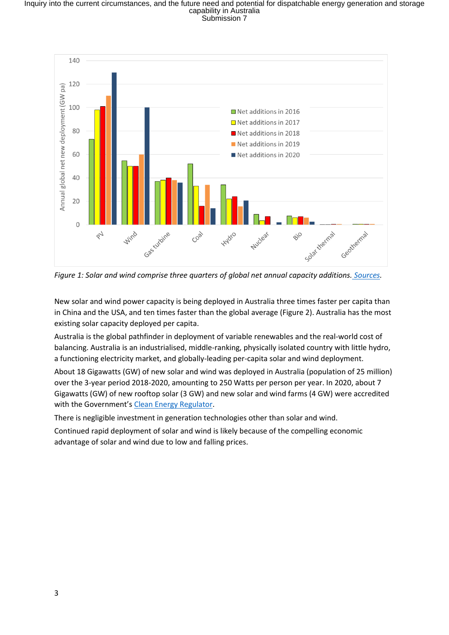

*Figure 1: Solar and wind comprise three quarters of global net annual capacity additions. [Sources.](https://ieeexplore.ieee.org/document/8836526)*

New solar and wind power capacity is being deployed in Australia three times faster per capita than in China and the USA, and ten times faster than the global average (Figure 2). Australia has the most existing solar capacity deployed per capita.

Australia is the global pathfinder in deployment of variable renewables and the real-world cost of balancing. Australia is an industrialised, middle-ranking, physically isolated country with little hydro, a functioning electricity market, and globally-leading per-capita solar and wind deployment.

About 18 Gigawatts (GW) of new solar and wind was deployed in Australia (population of 25 million) over the 3-year period 2018-2020, amounting to 250 Watts per person per year. In 2020, about 7 Gigawatts (GW) of new rooftop solar (3 GW) and new solar and wind farms (4 GW) were accredited with the Government's [Clean Energy Regulator.](http://www.cleanenergyregulator.gov.au/)

There is negligible investment in generation technologies other than solar and wind.

Continued rapid deployment of solar and wind is likely because of the compelling economic advantage of solar and wind due to low and falling prices.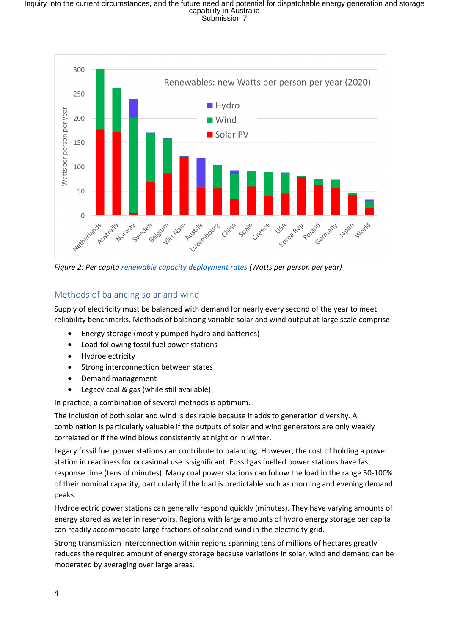

*Figure 2: Per capita renewable capacity deployment rates* (Watts per person per year)

# Methods of balancing solar and wind

Supply of electricity must be balanced with demand for nearly every second of the year to meet reliability benchmarks. Methods of balancing variable solar and wind output at large scale comprise:

- Energy storage (mostly pumped hydro and batteries)
- Load-following fossil fuel power stations
- Hydroelectricity
- Strong interconnection between states
- Demand management
- Legacy coal & gas (while still available)

In practice, a combination of several methods is optimum.

The inclusion of both solar and wind is desirable because it adds to generation diversity. A combination is particularly valuable if the outputs of solar and wind generators are only weakly correlated or if the wind blows consistently at night or in winter.

Legacy fossil fuel power stations can contribute to balancing. However, the cost of holding a power station in readiness for occasional use is significant. Fossil gas fuelled power stations have fast response time (tens of minutes). Many coal power stations can follow the load in the range 50-100% of their nominal capacity, particularly if the load is predictable such as morning and evening demand peaks.

Hydroelectric power stations can generally respond quickly (minutes). They have varying amounts of energy stored as water in reservoirs. Regions with large amounts of hydro energy storage per capita can readily accommodate large fractions of solar and wind in the electricity grid.

Strong transmission interconnection within regions spanning tens of millions of hectares greatly reduces the required amount of energy storage because variations in solar, wind and demand can be moderated by averaging over large areas.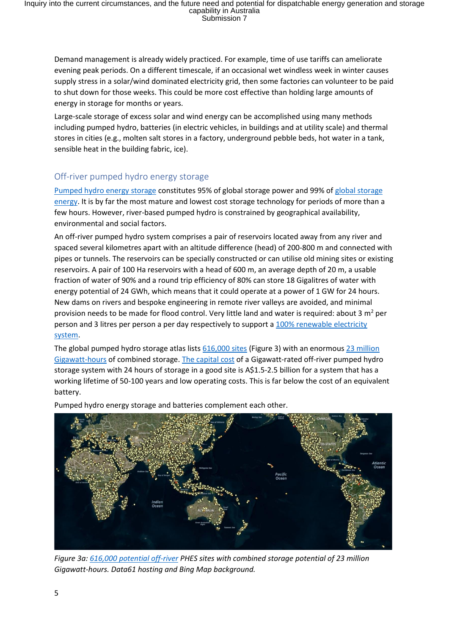Demand management is already widely practiced. For example, time of use tariffs can ameliorate evening peak periods. On a different timescale, if an occasional wet windless week in winter causes supply stress in a solar/wind dominated electricity grid, then some factories can volunteer to be paid to shut down for those weeks. This could be more cost effective than holding large amounts of energy in storage for months or years.

Large-scale storage of excess solar and wind energy can be accomplished using many methods including pumped hydro, batteries (in electric vehicles, in buildings and at utility scale) and thermal stores in cities (e.g., molten salt stores in a factory, underground pebble beds, hot water in a tank, sensible heat in the building fabric, ice).

# Off-river pumped hydro energy storage

[Pumped hydro energy storage](https://iopscience.iop.org/article/10.1088/2516-1083/abeb5b) constitutes 95% of global storage power and 99% of [global storage](https://anu365.sharepoint.com/sites/CECS-wide/Shared%20Documents/General/College%20Events%20Tracker/2021%20CECS%20ACTIVITY%20LISTING%20-%20Template.xlsx?web=1)  [energy.](https://anu365.sharepoint.com/sites/CECS-wide/Shared%20Documents/General/College%20Events%20Tracker/2021%20CECS%20ACTIVITY%20LISTING%20-%20Template.xlsx?web=1) It is by far the most mature and lowest cost storage technology for periods of more than a few hours. However, river-based pumped hydro is constrained by geographical availability, environmental and social factors.

An off-river pumped hydro system comprises a pair of reservoirs located away from any river and spaced several kilometres apart with an altitude difference (head) of 200-800 m and connected with pipes or tunnels. The reservoirs can be specially constructed or can utilise old mining sites or existing reservoirs. A pair of 100 Ha reservoirs with a head of 600 m, an average depth of 20 m, a usable fraction of water of 90% and a round trip efficiency of 80% can store 18 Gigalitres of water with energy potential of 24 GWh, which means that it could operate at a power of 1 GW for 24 hours. New dams on rivers and bespoke engineering in remote river valleys are avoided, and minimal provision needs to be made for flood control. Very little land and water is required: about 3  $m^2$  per person and 3 litres per person a per day respectively to support a 100% renewable electricity [system.](https://iopscience.iop.org/article/10.1088/2516-1083/abeb5b)

The global pumped hydro storage atlas list[s 616,000 sites](http://re100.eng.anu.edu.au/global/index.php) (Figure 3) with an enormous [23 million](https://doi.org/10.1016/j.joule.2020.11.015)  [Gigawatt-hours](https://doi.org/10.1016/j.joule.2020.11.015) of combined storage. [The capital cost](https://doi.org/10.1016/j.joule.2020.11.015) of a Gigawatt-rated off-river pumped hydro storage system with 24 hours of storage in a good site is A\$1.5-2.5 billion for a system that has a working lifetime of 50-100 years and low operating costs. This is far below the cost of an equivalent battery.



Pumped hydro energy storage and batteries complement each other.

*Figure 3a: [616,000 potential off-river](http://re100.eng.anu.edu.au/global/index.php) PHES sites with combined storage potential of 23 million Gigawatt-hours. Data61 hosting and Bing Map background.*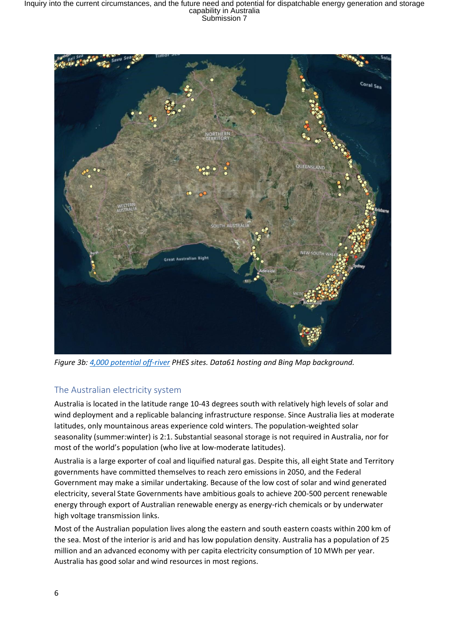

*Figure 3b: [4,000 potential off-river](http://re100.eng.anu.edu.au/global/index.php) PHES sites. Data61 hosting and Bing Map background.*

# The Australian electricity system

Australia is located in the latitude range 10-43 degrees south with relatively high levels of solar and wind deployment and a replicable balancing infrastructure response. Since Australia lies at moderate latitudes, only mountainous areas experience cold winters. The population-weighted solar seasonality (summer:winter) is 2:1. Substantial seasonal storage is not required in Australia, nor for most of the world's population (who live at low-moderate latitudes).

Australia is a large exporter of coal and liquified natural gas. Despite this, all eight State and Territory governments have committed themselves to reach zero emissions in 2050, and the Federal Government may make a similar undertaking. Because of the low cost of solar and wind generated electricity, several State Governments have ambitious goals to achieve 200-500 percent renewable energy through export of Australian renewable energy as energy-rich chemicals or by underwater high voltage transmission links.

Most of the Australian population lives along the eastern and south eastern coasts within 200 km of the sea. Most of the interior is arid and has low population density. Australia has a population of 25 million and an advanced economy with per capita electricity consumption of 10 MWh per year. Australia has good solar and wind resources in most regions.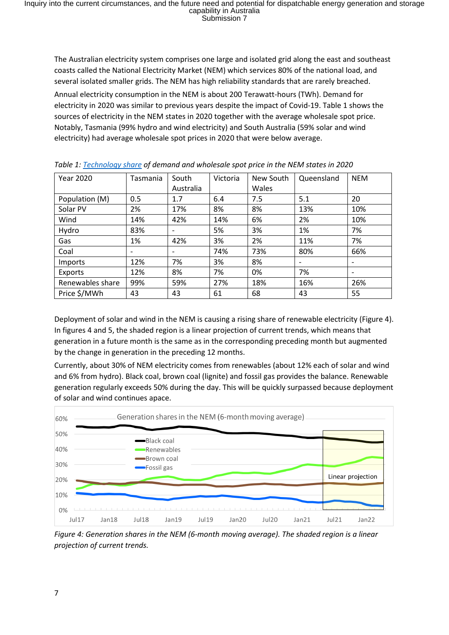The Australian electricity system comprises one large and isolated grid along the east and southeast coasts called the National Electricity Market (NEM) which services 80% of the national load, and several isolated smaller grids. The NEM has high reliability standards that are rarely breached. Annual electricity consumption in the NEM is about 200 Terawatt-hours (TWh). Demand for electricity in 2020 was similar to previous years despite the impact of Covid-19. Table 1 shows the sources of electricity in the NEM states in 2020 together with the average wholesale spot price. Notably, Tasmania (99% hydro and wind electricity) and South Australia (59% solar and wind electricity) had average wholesale spot prices in 2020 that were below average.

| <b>Year 2020</b> | Tasmania | South                        | Victoria | New South | Queensland               | <b>NEM</b> |
|------------------|----------|------------------------------|----------|-----------|--------------------------|------------|
|                  |          | Australia                    |          | Wales     |                          |            |
| Population (M)   | 0.5      | 1.7                          | 6.4      | 7.5       | 5.1                      | 20         |
| Solar PV         | 2%       | 17%                          | 8%       | 8%        | 13%                      | 10%        |
| Wind             | 14%      | 42%                          | 14%      | 6%        | 2%                       | 10%        |
| Hydro            | 83%      | $\qquad \qquad \blacksquare$ | 5%       | 3%        | 1%                       | 7%         |
| Gas              | 1%       | 42%                          | 3%       | 2%        | 11%                      | 7%         |
| Coal             |          | -                            | 74%      | 73%       | 80%                      | 66%        |
| <b>Imports</b>   | 12%      | 7%                           | 3%       | 8%        | $\overline{\phantom{a}}$ |            |
| Exports          | 12%      | 8%                           | 7%       | 0%        | 7%                       |            |
| Renewables share | 99%      | 59%                          | 27%      | 18%       | 16%                      | 26%        |
| Price \$/MWh     | 43       | 43                           | 61       | 68        | 43                       | 55         |

*Table 1: [Technology share](https://opennem.org.au/) of demand and wholesale spot price in the NEM states in 2020*

Deployment of solar and wind in the NEM is causing a rising share of renewable electricity (Figure 4). In figures 4 and 5, the shaded region is a linear projection of current trends, which means that generation in a future month is the same as in the corresponding preceding month but augmented by the change in generation in the preceding 12 months.

Currently, about 30% of NEM electricity comes from renewables (about 12% each of solar and wind and 6% from hydro). Black coal, brown coal (lignite) and fossil gas provides the balance. Renewable generation regularly exceeds 50% during the day. This will be quickly surpassed because deployment of solar and wind continues apace.



*Figure 4: Generation shares in the NEM (6-month moving average). The shaded region is a linear projection of current trends.*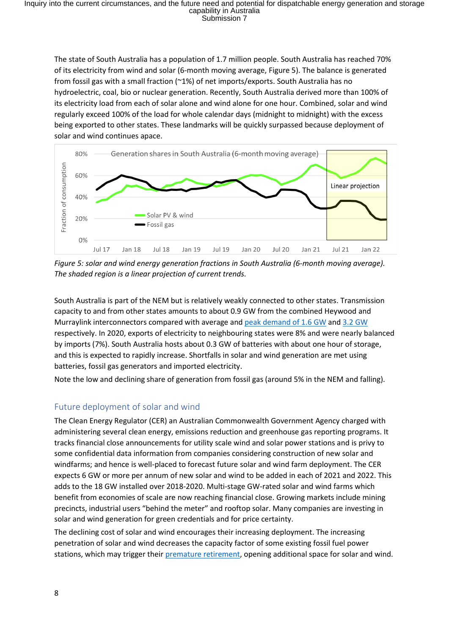The state of South Australia has a population of 1.7 million people. South Australia has reached 70% of its electricity from wind and solar (6-month moving average, Figure 5). The balance is generated from fossil gas with a small fraction (~1%) of net imports/exports. South Australia has no hydroelectric, coal, bio or nuclear generation. Recently, South Australia derived more than 100% of its electricity load from each of solar alone and wind alone for one hour. Combined, solar and wind regularly exceed 100% of the load for whole calendar days (midnight to midnight) with the excess being exported to other states. These landmarks will be quickly surpassed because deployment of solar and wind continues apace.



*Figure 5: solar and wind energy generation fractions in South Australia (6-month moving average). The shaded region is a linear projection of current trends.*

South Australia is part of the NEM but is relatively weakly connected to other states. Transmission capacity to and from other states amounts to about 0.9 GW from the combined Heywood and Murraylink interconnectors compared with average an[d peak demand](https://aemo.com.au/en/energy-systems/electricity/national-electricity-market-nem/about-the-national-electricity-market-nem) of 1.6 GW and 3.2 [GW](https://www.aer.gov.au/wholesale-markets/wholesale-statistics/seasonal-peak-demand-regions) respectively. In 2020, exports of electricity to neighbouring states were 8% and were nearly balanced by imports (7%). South Australia hosts about 0.3 GW of batteries with about one hour of storage, and this is expected to rapidly increase. Shortfalls in solar and wind generation are met using batteries, fossil gas generators and imported electricity.

Note the low and declining share of generation from fossil gas (around 5% in the NEM and falling).

# Future deployment of solar and wind

The Clean Energy Regulator (CER) an Australian Commonwealth Government Agency charged with administering several clean energy, emissions reduction and greenhouse gas reporting programs. It tracks financial close announcements for utility scale wind and solar power stations and is privy to some confidential data information from companies considering construction of new solar and windfarms; and hence is well-placed to forecast future solar and wind farm deployment. The CER expects 6 GW or more per annum of new solar and wind to be added in each of 2021 and 2022. This adds to the 18 GW installed over 2018-2020. Multi-stage GW-rated solar and wind farms which benefit from economies of scale are now reaching financial close. Growing markets include mining precincts, industrial users "behind the meter" and rooftop solar. Many companies are investing in solar and wind generation for green credentials and for price certainty.

The declining cost of solar and wind encourages their increasing deployment. The increasing penetration of solar and wind decreases the capacity factor of some existing fossil fuel power stations, which may trigger their [premature retirement,](https://ieefa.org/wp-content/uploads/2021/02/Coal-Plant-Profitability-Is-Eroding_February-2021.pdf) opening additional space for solar and wind.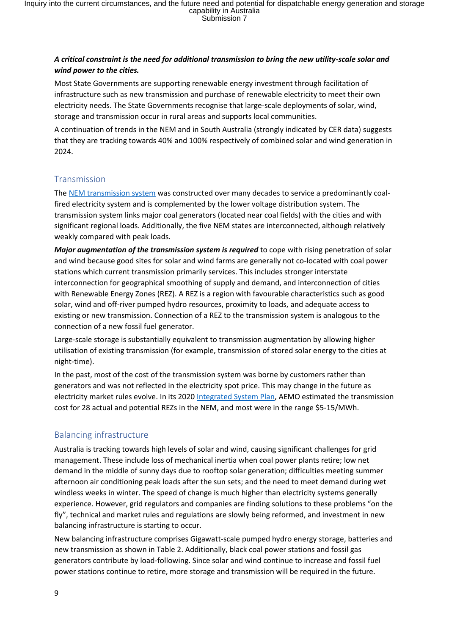#### *A critical constraint is the need for additional transmission to bring the new utility-scale solar and wind power to the cities.*

Most State Governments are supporting renewable energy investment through facilitation of infrastructure such as new transmission and purchase of renewable electricity to meet their own electricity needs. The State Governments recognise that large-scale deployments of solar, wind, storage and transmission occur in rural areas and supports local communities.

A continuation of trends in the NEM and in South Australia (strongly indicated by CER data) suggests that they are tracking towards 40% and 100% respectively of combined solar and wind generation in 2024.

#### Transmission

The [NEM transmission system](https://www.aemo.com.au/energy-systems/electricity/national-electricity-market-nem/about-the-national-electricity-market-nem) was constructed over many decades to service a predominantly coalfired electricity system and is complemented by the lower voltage distribution system. The transmission system links major coal generators (located near coal fields) with the cities and with significant regional loads. Additionally, the five NEM states are interconnected, although relatively weakly compared with peak loads.

*Major augmentation of the transmission system is required* to cope with rising penetration of solar and wind because good sites for solar and wind farms are generally not co-located with coal power stations which current transmission primarily services. This includes stronger interstate interconnection for geographical smoothing of supply and demand, and interconnection of cities with Renewable Energy Zones (REZ). A REZ is a region with favourable characteristics such as good solar, wind and off-river pumped hydro resources, proximity to loads, and adequate access to existing or new transmission. Connection of a REZ to the transmission system is analogous to the connection of a new fossil fuel generator.

Large-scale storage is substantially equivalent to transmission augmentation by allowing higher utilisation of existing transmission (for example, transmission of stored solar energy to the cities at night-time).

In the past, most of the cost of the transmission system was borne by customers rather than generators and was not reflected in the electricity spot price. This may change in the future as electricity market rules evolve. In its 202[0 Integrated System Plan,](https://www.aemo.com.au/newsroom/media-release/record-minimum-demand-levels-across-australia) AEMO estimated the transmission cost for 28 actual and potential REZs in the NEM, and most were in the range \$5-15/MWh.

# Balancing infrastructure

Australia is tracking towards high levels of solar and wind, causing significant challenges for grid management. These include loss of mechanical inertia when coal power plants retire; low net demand in the middle of sunny days due to rooftop solar generation; difficulties meeting summer afternoon air conditioning peak loads after the sun sets; and the need to meet demand during wet windless weeks in winter. The speed of change is much higher than electricity systems generally experience. However, grid regulators and companies are finding solutions to these problems "on the fly", technical and market rules and regulations are slowly being reformed, and investment in new balancing infrastructure is starting to occur.

New balancing infrastructure comprises Gigawatt-scale pumped hydro energy storage, batteries and new transmission as shown in Table 2. Additionally, black coal power stations and fossil gas generators contribute by load-following. Since solar and wind continue to increase and fossil fuel power stations continue to retire, more storage and transmission will be required in the future.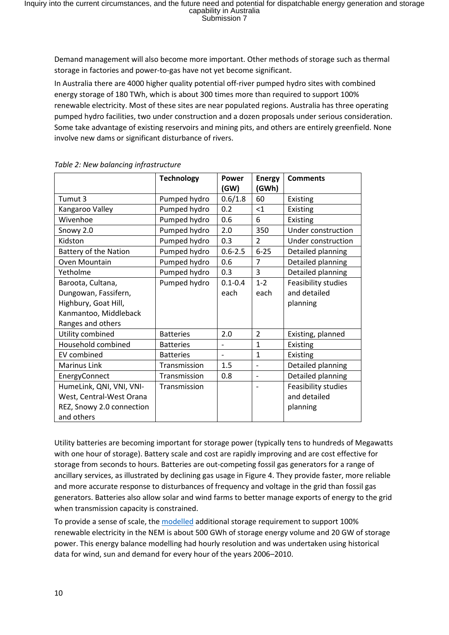Demand management will also become more important. Other methods of storage such as thermal storage in factories and power-to-gas have not yet become significant.

In Australia there are 4000 higher quality potential off-river pumped hydro sites with combined energy storage of 180 TWh, which is about 300 times more than required to support 100% renewable electricity. Most of these sites are near populated regions. Australia has three operating pumped hydro facilities, two under construction and a dozen proposals under serious consideration. Some take advantage of existing reservoirs and mining pits, and others are entirely greenfield. None involve new dams or significant disturbance of rivers.

|                              | <b>Technology</b> | Power<br>(GW)           | <b>Energy</b><br>(GWh)   | <b>Comments</b>     |
|------------------------------|-------------------|-------------------------|--------------------------|---------------------|
| Tumut 3                      | Pumped hydro      | 0.6/1.8<br>60           |                          | Existing            |
| Kangaroo Valley              | Pumped hydro      | 0.2                     | $<$ 1                    | Existing            |
| Wivenhoe                     | Pumped hydro      | 0.6                     | 6                        | Existing            |
| Snowy 2.0                    | Pumped hydro      | 2.0                     | 350                      | Under construction  |
| Kidston                      | Pumped hydro      | 0.3                     | $\overline{2}$           | Under construction  |
| <b>Battery of the Nation</b> | Pumped hydro      | $6 - 25$<br>$0.6 - 2.5$ |                          | Detailed planning   |
| Oven Mountain                | Pumped hydro      | 0.6                     | $\overline{7}$           | Detailed planning   |
| Yetholme                     | Pumped hydro      | 0.3<br>3                |                          | Detailed planning   |
| Baroota, Cultana,            | Pumped hydro      | $0.1 - 0.4$             | $1 - 2$                  | Feasibility studies |
| Dungowan, Fassifern,         |                   | each                    | each                     | and detailed        |
| Highbury, Goat Hill,         |                   |                         |                          | planning            |
| Kanmantoo, Middleback        |                   |                         |                          |                     |
| Ranges and others            |                   |                         |                          |                     |
| Utility combined             | <b>Batteries</b>  | 2.0                     | $\overline{2}$           | Existing, planned   |
| Household combined           | <b>Batteries</b>  |                         | $\mathbf{1}$             | Existing            |
| <b>EV</b> combined           | <b>Batteries</b>  |                         | 1                        | Existing            |
| <b>Marinus Link</b>          | Transmission      | 1.5                     | $\overline{a}$           | Detailed planning   |
| EnergyConnect                | Transmission      | 0.8                     | $\overline{\phantom{a}}$ | Detailed planning   |
| HumeLink, QNI, VNI, VNI-     | Transmission      |                         |                          | Feasibility studies |
| West, Central-West Orana     |                   |                         |                          | and detailed        |
| REZ, Snowy 2.0 connection    |                   |                         |                          | planning            |
| and others                   |                   |                         |                          |                     |

*Table 2: New balancing infrastructure*

Utility batteries are becoming important for storage power (typically tens to hundreds of Megawatts with one hour of storage). Battery scale and cost are rapidly improving and are cost effective for storage from seconds to hours. Batteries are out-competing fossil gas generators for a range of ancillary services, as illustrated by declining gas usage in Figure 4. They provide faster, more reliable and more accurate response to disturbances of frequency and voltage in the grid than fossil gas generators. Batteries also allow solar and wind farms to better manage exports of energy to the grid when transmission capacity is constrained.

To provide a sense of scale, the [modelled](http://www.sciencedirect.com/science/article/pii/S0360544217309568) additional storage requirement to support 100% renewable electricity in the NEM is about 500 GWh of storage energy volume and 20 GW of storage power. This energy balance modelling had hourly resolution and was undertaken using historical data for wind, sun and demand for every hour of the years 2006–2010.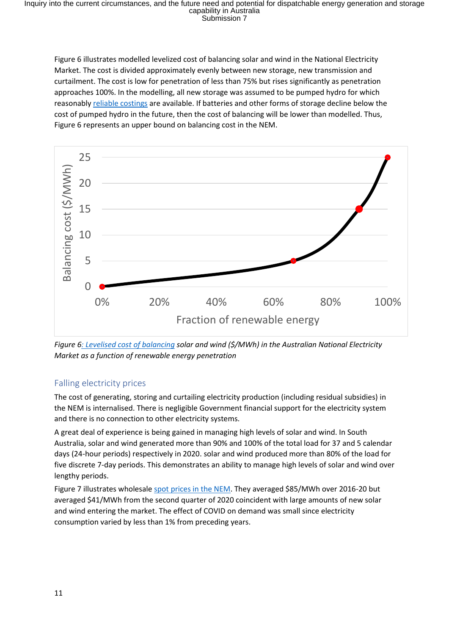Figure 6 illustrates modelled levelized cost of balancing solar and wind in the National Electricity Market. The cost is divided approximately evenly between new storage, new transmission and curtailment. The cost is low for penetration of less than 75% but rises significantly as penetration approaches 100%. In the modelling, all new storage was assumed to be pumped hydro for which reasonably [reliable costings](http://www.sciencedirect.com/science/article/pii/S0360544217309568) are available. If batteries and other forms of storage decline below the cost of pumped hydro in the future, then the cost of balancing will be lower than modelled. Thus, Figure 6 represents an upper bound on balancing cost in the NEM.



*Figure [6: Levelised cost of balancing](http://www.sciencedirect.com/science/article/pii/S0360544217309568) solar and wind (\$/MWh) in the Australian National Electricity Market as a function of renewable energy penetration*

#### Falling electricity prices

The cost of generating, storing and curtailing electricity production (including residual subsidies) in the NEM is internalised. There is negligible Government financial support for the electricity system and there is no connection to other electricity systems.

A great deal of experience is being gained in managing high levels of solar and wind. In South Australia, solar and wind generated more than 90% and 100% of the total load for 37 and 5 calendar days (24-hour periods) respectively in 2020. solar and wind produced more than 80% of the load for five discrete 7-day periods. This demonstrates an ability to manage high levels of solar and wind over lengthy periods.

Figure 7 illustrates wholesale [spot prices in the NEM.](https://opennem.org.au/) They averaged \$85/MWh over 2016-20 but averaged \$41/MWh from the second quarter of 2020 coincident with large amounts of new solar and wind entering the market. The effect of COVID on demand was small since electricity consumption varied by less than 1% from preceding years.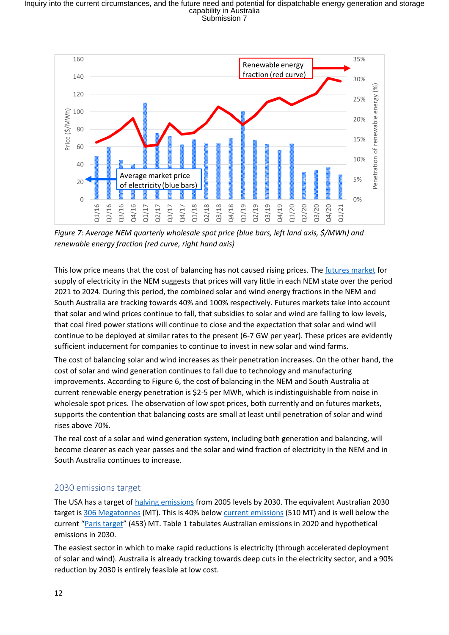

*Figure 7: Average NEM quarterly wholesale spot price (blue bars, left land axis, \$/MWh) and renewable energy fraction (red curve, right hand axis)*

This low price means that the cost of balancing has not caused rising prices. The [futures market](https://www.asx.com.au/asx/markets/futuresPriceList.do?code=BS&type=FUTURE) for supply of electricity in the NEM suggests that prices will vary little in each NEM state over the period 2021 to 2024. During this period, the combined solar and wind energy fractions in the NEM and South Australia are tracking towards 40% and 100% respectively. Futures markets take into account that solar and wind prices continue to fall, that subsidies to solar and wind are falling to low levels, that coal fired power stations will continue to close and the expectation that solar and wind will continue to be deployed at similar rates to the present (6-7 GW per year). These prices are evidently sufficient inducement for companies to continue to invest in new solar and wind farms.

The cost of balancing solar and wind increases as their penetration increases. On the other hand, the cost of solar and wind generation continues to fall due to technology and manufacturing improvements. According to Figure 6, the cost of balancing in the NEM and South Australia at current renewable energy penetration is \$2-5 per MWh, which is indistinguishable from noise in wholesale spot prices. The observation of low spot prices, both currently and on futures markets, supports the contention that balancing costs are small at least until penetration of solar and wind rises above 70%.

The real cost of a solar and wind generation system, including both generation and balancing, will become clearer as each year passes and the solar and wind fraction of electricity in the NEM and in South Australia continues to increase.

# 2030 emissions target

The USA has a target of [halving emissions](https://www.whitehouse.gov/briefing-room/statements-releases/2021/04/22/fact-sheet-president-biden-sets-2030-greenhouse-gas-pollution-reduction-target-aimed-at-creating-good-paying-union-jobs-and-securing-u-s-leadership-on-clean-energy-technologies/) from 2005 levels by 2030. The equivalent Australian 2030 target is [306 Megatonnes](https://www.pmc.gov.au/sites/default/files/publications/Summary%20Report%20Australias%202030%20Emission%20Reduction%20Target.pdf) (MT). This is 40% belo[w current emissions](https://www.industry.gov.au/data-and-publications/national-greenhouse-gas-inventory-quarterly-update-september-2020) (510 MT) and is well below the current "[Paris target](https://www.pmc.gov.au/sites/default/files/publications/Summary%20Report%20Australias%202030%20Emission%20Reduction%20Target.pdf)" (453) MT. Table 1 tabulates Australian emissions in 2020 and hypothetical emissions in 2030.

The easiest sector in which to make rapid reductions is electricity (through accelerated deployment of solar and wind). Australia is already tracking towards deep cuts in the electricity sector, and a 90% reduction by 2030 is entirely feasible at low cost.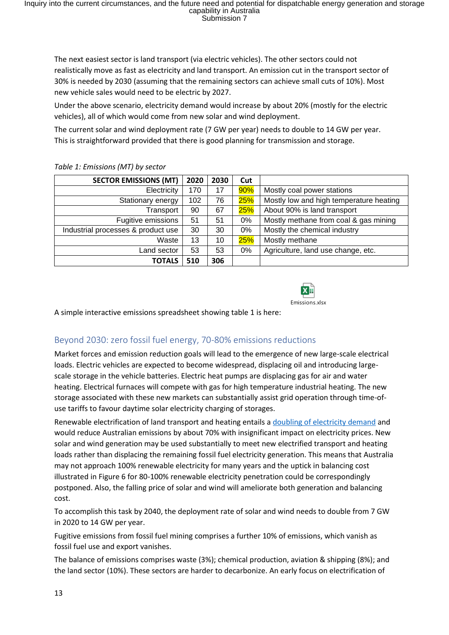The next easiest sector is land transport (via electric vehicles). The other sectors could not realistically move as fast as electricity and land transport. An emission cut in the transport sector of 30% is needed by 2030 (assuming that the remaining sectors can achieve small cuts of 10%). Most new vehicle sales would need to be electric by 2027.

Under the above scenario, electricity demand would increase by about 20% (mostly for the electric vehicles), all of which would come from new solar and wind deployment.

The current solar and wind deployment rate (7 GW per year) needs to double to 14 GW per year. This is straightforward provided that there is good planning for transmission and storage.

| <b>SECTOR EMISSIONS (MT)</b>       | 2020 | 2030 | Cut |                                         |
|------------------------------------|------|------|-----|-----------------------------------------|
| Electricity                        | 170  | 17   | 90% | Mostly coal power stations              |
| Stationary energy                  | 102  | 76   | 25% | Mostly low and high temperature heating |
| Transport                          | 90   | 67   | 25% | About 90% is land transport             |
| Fugitive emissions                 | 51   | 51   | 0%  | Mostly methane from coal & gas mining   |
| Industrial processes & product use | 30   | 30   | 0%  | Mostly the chemical industry            |
| Waste                              | 13   | 10   | 25% | Mostly methane                          |
| Land sector                        | 53   | 53   | 0%  | Agriculture, land use change, etc.      |
| <b>TOTALS</b>                      | 510  | 306  |     |                                         |

#### *Table 1: Emissions (MT) by sector*



A simple interactive emissions spreadsheet showing table 1 is here:

# Beyond 2030: zero fossil fuel energy, 70-80% emissions reductions

Market forces and emission reduction goals will lead to the emergence of new large-scale electrical loads. Electric vehicles are expected to become widespread, displacing oil and introducing largescale storage in the vehicle batteries. Electric heat pumps are displacing gas for air and water heating. Electrical furnaces will compete with gas for high temperature industrial heating. The new storage associated with these new markets can substantially assist grid operation through time-ofuse tariffs to favour daytime solar electricity charging of storages.

Renewable electrification of land transport and heating entails [a doubling of electricity demand](https://doi.org/10.1016/j.energy.2020.119678) and would reduce Australian emissions by about 70% with insignificant impact on electricity prices. New solar and wind generation may be used substantially to meet new electrified transport and heating loads rather than displacing the remaining fossil fuel electricity generation. This means that Australia may not approach 100% renewable electricity for many years and the uptick in balancing cost illustrated in Figure 6 for 80-100% renewable electricity penetration could be correspondingly postponed. Also, the falling price of solar and wind will ameliorate both generation and balancing cost.

To accomplish this task by 2040, the deployment rate of solar and wind needs to double from 7 GW in 2020 to 14 GW per year.

Fugitive emissions from fossil fuel mining comprises a further 10% of emissions, which vanish as fossil fuel use and export vanishes.

The balance of emissions comprises waste (3%); chemical production, aviation & shipping (8%); and the land sector (10%). These sectors are harder to decarbonize. An early focus on electrification of